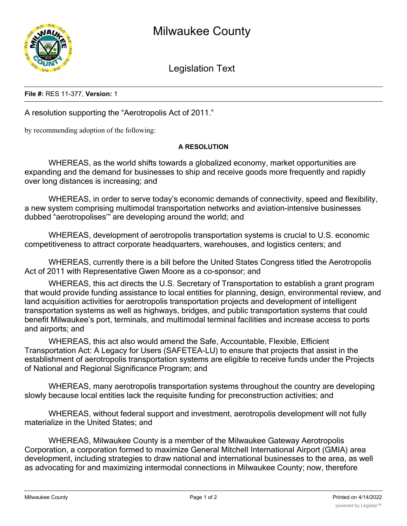

Legislation Text

## **File #:** RES 11-377, **Version:** 1

A resolution supporting the "Aerotropolis Act of 2011."

by recommending adoption of the following:

## **A RESOLUTION**

WHEREAS, as the world shifts towards a globalized economy, market opportunities are expanding and the demand for businesses to ship and receive goods more frequently and rapidly over long distances is increasing; and

WHEREAS, in order to serve today's economic demands of connectivity, speed and flexibility, a new system comprising multimodal transportation networks and aviation-intensive businesses dubbed "aerotropolises'" are developing around the world; and

WHEREAS, development of aerotropolis transportation systems is crucial to U.S. economic competitiveness to attract corporate headquarters, warehouses, and logistics centers; and

WHEREAS, currently there is a bill before the United States Congress titled the Aerotropolis Act of 2011 with Representative Gwen Moore as a co-sponsor; and

WHEREAS, this act directs the U.S. Secretary of Transportation to establish a grant program that would provide funding assistance to local entities for planning, design, environmental review, and land acquisition activities for aerotropolis transportation projects and development of intelligent transportation systems as well as highways, bridges, and public transportation systems that could benefit Milwaukee's port, terminals, and multimodal terminal facilities and increase access to ports and airports; and

WHEREAS, this act also would amend the Safe, Accountable, Flexible, Efficient Transportation Act: A Legacy for Users (SAFETEA-LU) to ensure that projects that assist in the establishment of aerotropolis transportation systems are eligible to receive funds under the Projects of National and Regional Significance Program; and

WHEREAS, many aerotropolis transportation systems throughout the country are developing slowly because local entities lack the requisite funding for preconstruction activities; and

WHEREAS, without federal support and investment, aerotropolis development will not fully materialize in the United States; and

WHEREAS, Milwaukee County is a member of the Milwaukee Gateway Aerotropolis Corporation, a corporation formed to maximize General Mitchell International Airport (GMIA) area development, including strategies to draw national and international businesses to the area, as well as advocating for and maximizing intermodal connections in Milwaukee County; now, therefore